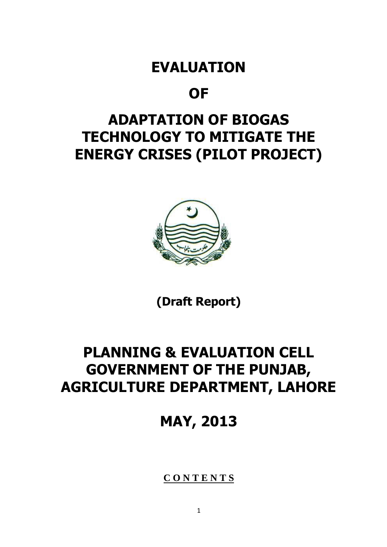# **EVALUATION**

# **OF**

# **ADAPTATION OF BIOGAS TECHNOLOGY TO MITIGATE THE ENERGY CRISES (PILOT PROJECT)**



**(Draft Report)**

# **PLANNING & EVALUATION CELL GOVERNMENT OF THE PUNJAB, AGRICULTURE DEPARTMENT, LAHORE**

**MAY, 2013**

**C O N T E N T S**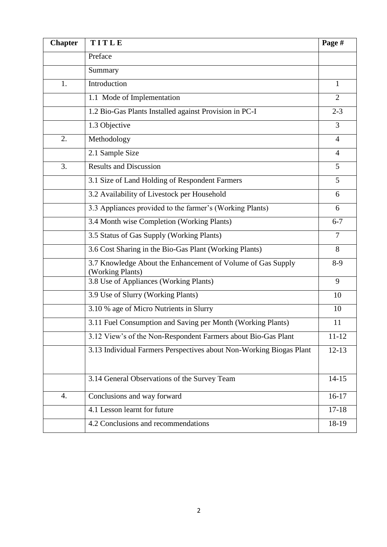| <b>Chapter</b> | TITLE                                                                           | Page #         |
|----------------|---------------------------------------------------------------------------------|----------------|
|                | Preface                                                                         |                |
|                | Summary                                                                         |                |
| 1.             | Introduction                                                                    | 1              |
|                | 1.1 Mode of Implementation                                                      | $\overline{2}$ |
|                | 1.2 Bio-Gas Plants Installed against Provision in PC-I                          | $2 - 3$        |
|                | 1.3 Objective                                                                   | 3              |
| 2.             | Methodology                                                                     | $\overline{4}$ |
|                | 2.1 Sample Size                                                                 | $\overline{4}$ |
| 3.             | <b>Results and Discussion</b>                                                   | 5              |
|                | 3.1 Size of Land Holding of Respondent Farmers                                  | 5              |
|                | 3.2 Availability of Livestock per Household                                     | 6              |
|                | 3.3 Appliances provided to the farmer's (Working Plants)                        | 6              |
|                | 3.4 Month wise Completion (Working Plants)                                      | $6 - 7$        |
|                | 3.5 Status of Gas Supply (Working Plants)                                       | 7              |
|                | 3.6 Cost Sharing in the Bio-Gas Plant (Working Plants)                          | 8              |
|                | 3.7 Knowledge About the Enhancement of Volume of Gas Supply<br>(Working Plants) | $8-9$          |
|                | 3.8 Use of Appliances (Working Plants)                                          | 9              |
|                | 3.9 Use of Slurry (Working Plants)                                              | 10             |
|                | 3.10 % age of Micro Nutrients in Slurry                                         | 10             |
|                | 3.11 Fuel Consumption and Saving per Month (Working Plants)                     | 11             |
|                | 3.12 View's of the Non-Respondent Farmers about Bio-Gas Plant                   | $11 - 12$      |
|                | 3.13 Individual Farmers Perspectives about Non-Working Biogas Plant             | $12 - 13$      |
|                | 3.14 General Observations of the Survey Team                                    | $14 - 15$      |
| 4.             | Conclusions and way forward                                                     | $16-17$        |
|                | 4.1 Lesson learnt for future                                                    | $17 - 18$      |
|                | 4.2 Conclusions and recommendations                                             | 18-19          |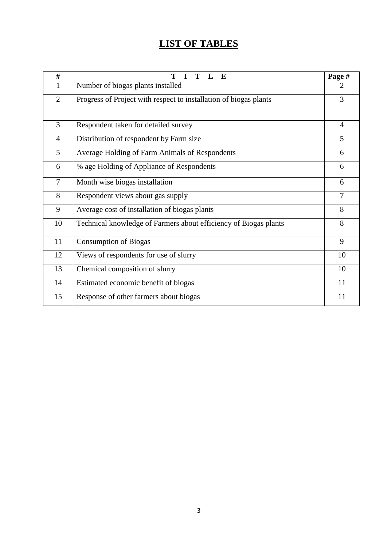# **LIST OF TABLES**

| #              | T<br>T<br>E                                                       | Page #         |
|----------------|-------------------------------------------------------------------|----------------|
| 1              | Number of biogas plants installed                                 | $\overline{2}$ |
| $\overline{2}$ | Progress of Project with respect to installation of biogas plants | 3              |
| 3              | Respondent taken for detailed survey                              | $\overline{4}$ |
| $\overline{4}$ | Distribution of respondent by Farm size                           | 5              |
| 5              | Average Holding of Farm Animals of Respondents                    | 6              |
| 6              | % age Holding of Appliance of Respondents                         | 6              |
| $\tau$         | Month wise biogas installation                                    | 6              |
| 8              | Respondent views about gas supply                                 | $\overline{7}$ |
| 9              | Average cost of installation of biogas plants                     | 8              |
| 10             | Technical knowledge of Farmers about efficiency of Biogas plants  | 8              |
| 11             | <b>Consumption of Biogas</b>                                      | 9              |
| 12             | Views of respondents for use of slurry                            | 10             |
| 13             | Chemical composition of slurry                                    | 10             |
| 14             | Estimated economic benefit of biogas                              | 11             |
| 15             | Response of other farmers about biogas                            | 11             |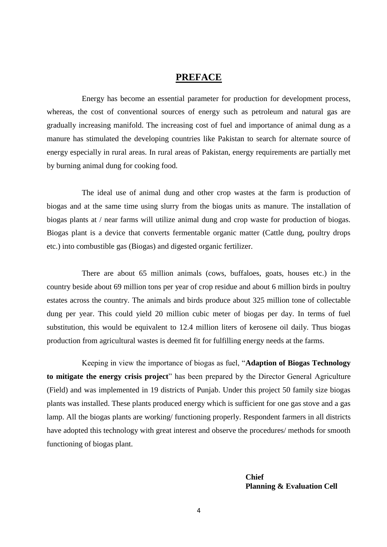#### **PREFACE**

Energy has become an essential parameter for production for development process, whereas, the cost of conventional sources of energy such as petroleum and natural gas are gradually increasing manifold. The increasing cost of fuel and importance of animal dung as a manure has stimulated the developing countries like Pakistan to search for alternate source of energy especially in rural areas. In rural areas of Pakistan, energy requirements are partially met by burning animal dung for cooking food.

The ideal use of animal dung and other crop wastes at the farm is production of biogas and at the same time using slurry from the biogas units as manure. The installation of biogas plants at / near farms will utilize animal dung and crop waste for production of biogas. Biogas plant is a device that converts fermentable organic matter (Cattle dung, poultry drops etc.) into combustible gas (Biogas) and digested organic fertilizer.

There are about 65 million animals (cows, buffaloes, goats, houses etc.) in the country beside about 69 million tons per year of crop residue and about 6 million birds in poultry estates across the country. The animals and birds produce about 325 million tone of collectable dung per year. This could yield 20 million cubic meter of biogas per day. In terms of fuel substitution, this would be equivalent to 12.4 million liters of kerosene oil daily. Thus biogas production from agricultural wastes is deemed fit for fulfilling energy needs at the farms.

Keeping in view the importance of biogas as fuel, "**Adaption of Biogas Technology to mitigate the energy crisis project**" has been prepared by the Director General Agriculture (Field) and was implemented in 19 districts of Punjab. Under this project 50 family size biogas plants was installed. These plants produced energy which is sufficient for one gas stove and a gas lamp. All the biogas plants are working/ functioning properly. Respondent farmers in all districts have adopted this technology with great interest and observe the procedures/ methods for smooth functioning of biogas plant.

> **Chief Planning & Evaluation Cell**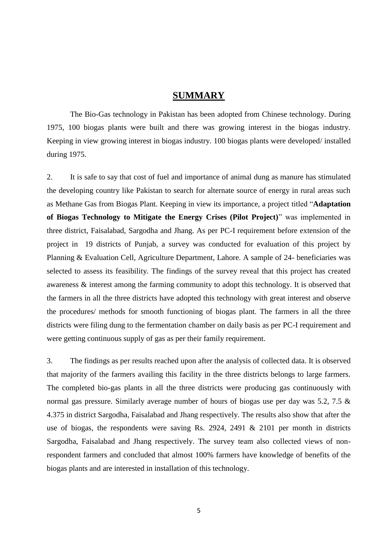#### **SUMMARY**

The Bio-Gas technology in Pakistan has been adopted from Chinese technology. During 1975, 100 biogas plants were built and there was growing interest in the biogas industry. Keeping in view growing interest in biogas industry. 100 biogas plants were developed/ installed during 1975.

2. It is safe to say that cost of fuel and importance of animal dung as manure has stimulated the developing country like Pakistan to search for alternate source of energy in rural areas such as Methane Gas from Biogas Plant. Keeping in view its importance, a project titled "**Adaptation of Biogas Technology to Mitigate the Energy Crises (Pilot Project)**" was implemented in three district, Faisalabad, Sargodha and Jhang. As per PC-I requirement before extension of the project in 19 districts of Punjab, a survey was conducted for evaluation of this project by Planning & Evaluation Cell, Agriculture Department, Lahore. A sample of 24- beneficiaries was selected to assess its feasibility. The findings of the survey reveal that this project has created awareness & interest among the farming community to adopt this technology. It is observed that the farmers in all the three districts have adopted this technology with great interest and observe the procedures/ methods for smooth functioning of biogas plant. The farmers in all the three districts were filing dung to the fermentation chamber on daily basis as per PC-I requirement and were getting continuous supply of gas as per their family requirement.

3. The findings as per results reached upon after the analysis of collected data. It is observed that majority of the farmers availing this facility in the three districts belongs to large farmers. The completed bio-gas plants in all the three districts were producing gas continuously with normal gas pressure. Similarly average number of hours of biogas use per day was 5.2, 7.5 & 4.375 in district Sargodha, Faisalabad and Jhang respectively. The results also show that after the use of biogas, the respondents were saving Rs. 2924, 2491 & 2101 per month in districts Sargodha, Faisalabad and Jhang respectively. The survey team also collected views of nonrespondent farmers and concluded that almost 100% farmers have knowledge of benefits of the biogas plants and are interested in installation of this technology.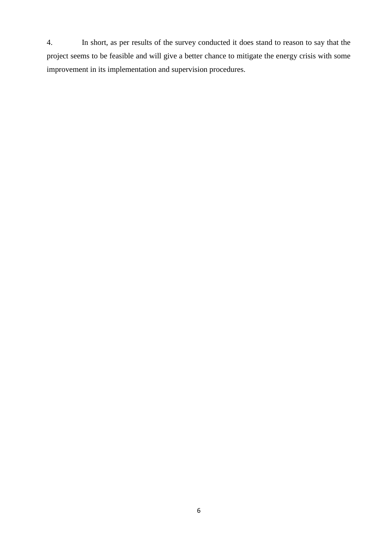4. In short, as per results of the survey conducted it does stand to reason to say that the project seems to be feasible and will give a better chance to mitigate the energy crisis with some improvement in its implementation and supervision procedures.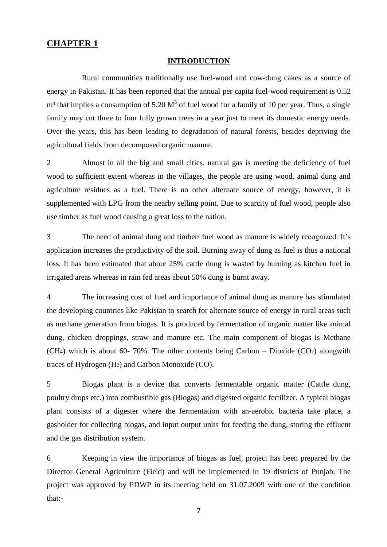#### **CHAPTER 1**

#### **INTRODUCTION**

Rural communities traditionally use fuel-wood and cow-dung cakes as a source of energy in Pakistan. It has been reported that the annual per capita fuel-wood requirement is 0.52  $m<sup>3</sup>$  that implies a consumption of 5.20  $M<sup>3</sup>$  of fuel wood for a family of 10 per year. Thus, a single family may cut three to four fully grown trees in a year just to meet its domestic energy needs. Over the years, this has been leading to degradation of natural forests, besides depriving the agricultural fields from decomposed organic manure.

2 Almost in all the big and small cities, natural gas is meeting the deficiency of fuel wood to sufficient extent whereas in the villages, the people are using wood, animal dung and agriculture residues as a fuel. There is no other alternate source of energy, however, it is supplemented with LPG from the nearby selling point. Due to scarcity of fuel wood, people also use timber as fuel wood causing a great loss to the nation.

3 The need of animal dung and timber/ fuel wood as manure is widely recognized. It's application increases the productivity of the soil. Burning away of dung as fuel is thus a national loss. It has been estimated that about 25% cattle dung is wasted by burning as kitchen fuel in irrigated areas whereas in rain fed areas about 50% dung is burnt away.

4 The increasing cost of fuel and importance of animal dung as manure has stimulated the developing countries like Pakistan to search for alternate source of energy in rural areas such as methane generation from biogas. It is produced by fermentation of organic matter like animal dung, chicken droppings, straw and manure etc. The main component of biogas is Methane (CH<sub>4</sub>) which is about 60-70%. The other contents being Carbon – Dioxide (CO<sub>2</sub>) alongwith traces of Hydrogen (H2) and Carbon Monoxide (CO).

5 Biogas plant is a device that converts fermentable organic matter (Cattle dung, poultry drops etc.) into combustible gas (Biogas) and digested organic fertilizer. A typical biogas plant consists of a digester where the fermentation with an-aerobic bacteria take place, a gasholder for collecting biogas, and input output units for feeding the dung, storing the effluent and the gas distribution system.

6 Keeping in view the importance of biogas as fuel, project has been prepared by the Director General Agriculture (Field) and will be implemented in 19 districts of Punjab. The project was approved by PDWP in its meeting held on 31.07.2009 with one of the condition that:-

7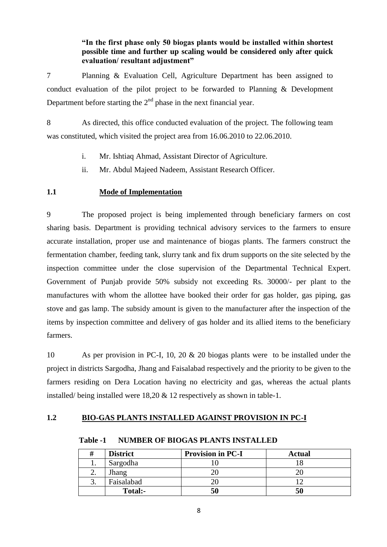**"In the first phase only 50 biogas plants would be installed within shortest possible time and further up scaling would be considered only after quick evaluation/ resultant adjustment"**

7 Planning & Evaluation Cell, Agriculture Department has been assigned to conduct evaluation of the pilot project to be forwarded to Planning & Development Department before starting the  $2<sup>nd</sup>$  phase in the next financial year.

8 As directed, this office conducted evaluation of the project. The following team was constituted, which visited the project area from 16.06.2010 to 22.06.2010.

- i. Mr. Ishtiaq Ahmad, Assistant Director of Agriculture.
- ii. Mr. Abdul Majeed Nadeem, Assistant Research Officer.

#### **1.1 Mode of Implementation**

9 The proposed project is being implemented through beneficiary farmers on cost sharing basis. Department is providing technical advisory services to the farmers to ensure accurate installation, proper use and maintenance of biogas plants. The farmers construct the fermentation chamber, feeding tank, slurry tank and fix drum supports on the site selected by the inspection committee under the close supervision of the Departmental Technical Expert. Government of Punjab provide 50% subsidy not exceeding Rs. 30000/- per plant to the manufactures with whom the allottee have booked their order for gas holder, gas piping, gas stove and gas lamp. The subsidy amount is given to the manufacturer after the inspection of the items by inspection committee and delivery of gas holder and its allied items to the beneficiary farmers.

10 As per provision in PC-I, 10, 20 & 20 biogas plants were to be installed under the project in districts Sargodha, Jhang and Faisalabad respectively and the priority to be given to the farmers residing on Dera Location having no electricity and gas, whereas the actual plants installed/ being installed were 18,20 & 12 respectively as shown in table-1.

#### **1.2 BIO-GAS PLANTS INSTALLED AGAINST PROVISION IN PC-I**

|     | <b>District</b> | <b>Provision in PC-I</b> | <b>Actual</b> |
|-----|-----------------|--------------------------|---------------|
| ı.  | Sargodha        |                          |               |
| ـ ت | Jhang           |                          |               |
| ິ.  | Faisalabad      |                          |               |
|     | <b>Total:-</b>  | 50                       | 50            |

**Table -1 NUMBER OF BIOGAS PLANTS INSTALLED**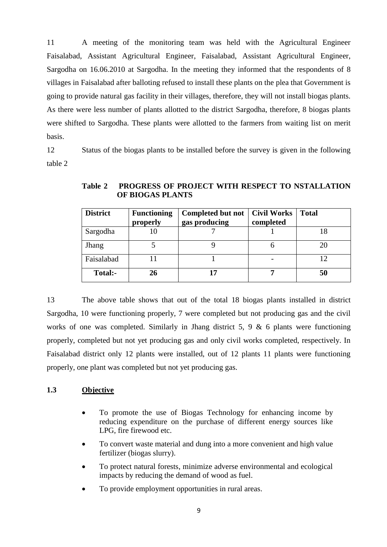11 A meeting of the monitoring team was held with the Agricultural Engineer Faisalabad, Assistant Agricultural Engineer, Faisalabad, Assistant Agricultural Engineer, Sargodha on 16.06.2010 at Sargodha. In the meeting they informed that the respondents of 8 villages in Faisalabad after balloting refused to install these plants on the plea that Government is going to provide natural gas facility in their villages, therefore, they will not install biogas plants. As there were less number of plants allotted to the district Sargodha, therefore, 8 biogas plants were shifted to Sargodha. These plants were allotted to the farmers from waiting list on merit basis.

12 Status of the biogas plants to be installed before the survey is given in the following table 2

| <b>District</b> | <b>Functioning</b> | Completed but not   Civil Works |           | <b>Total</b> |
|-----------------|--------------------|---------------------------------|-----------|--------------|
|                 | properly           | gas producing                   | completed |              |
| Sargodha        | 10                 |                                 |           |              |
| Jhang           |                    |                                 |           |              |
| Faisalabad      |                    |                                 |           |              |
| <b>Total:-</b>  | 26                 |                                 |           | 50           |

**Table 2 PROGRESS OF PROJECT WITH RESPECT TO NSTALLATION OF BIOGAS PLANTS**

13 The above table shows that out of the total 18 biogas plants installed in district Sargodha, 10 were functioning properly, 7 were completed but not producing gas and the civil works of one was completed. Similarly in Jhang district 5, 9  $\&$  6 plants were functioning properly, completed but not yet producing gas and only civil works completed, respectively. In Faisalabad district only 12 plants were installed, out of 12 plants 11 plants were functioning properly, one plant was completed but not yet producing gas.

#### **1.3 Objective**

- To promote the use of Biogas Technology for enhancing income by reducing expenditure on the purchase of different energy sources like LPG, fire firewood etc.
- To convert waste material and dung into a more convenient and high value fertilizer (biogas slurry).
- To protect natural forests, minimize adverse environmental and ecological impacts by reducing the demand of wood as fuel.
- To provide employment opportunities in rural areas.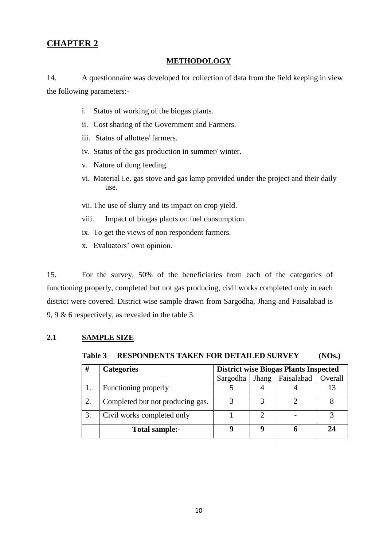### **CHAPTER 2**

#### **METHODOLOGY**

14. A questionnaire was developed for collection of data from the field keeping in view the following parameters:-

- i. Status of working of the biogas plants.
- ii. Cost sharing of the Government and Farmers.
- iii. Status of allottee/ farmers.
- iv. Status of the gas production in summer/ winter.
- v. Nature of dung feeding.
- vi. Material i.e. gas stove and gas lamp provided under the project and their daily use.
- vii. The use of slurry and its impact on crop yield.
- viii. Impact of biogas plants on fuel consumption.
- ix. To get the views of non respondent farmers.
- x. Evaluators' own opinion.

15. For the survey, 50% of the beneficiaries from each of the categories of functioning properly, completed but not gas producing, civil works completed only in each district were covered. District wise sample drawn from Sargodha, Jhang and Faisalabad is 9, 9 & 6 respectively, as revealed in the table 3.

#### **2.1 SAMPLE SIZE**

**Table 3 RESPONDENTS TAKEN FOR DETAILED SURVEY (NOs.)** 

| #  | <b>Categories</b>                | <b>District wise Biogas Plants Inspected</b> |       |            |         |  |
|----|----------------------------------|----------------------------------------------|-------|------------|---------|--|
|    |                                  | Sargodha                                     | Jhang | Faisalabad | Overall |  |
|    | Functioning properly             |                                              |       |            |         |  |
| 2. | Completed but not producing gas. |                                              |       |            |         |  |
| 3. | Civil works completed only       |                                              |       |            |         |  |
|    | Total sample:-                   | Q                                            |       |            | 24      |  |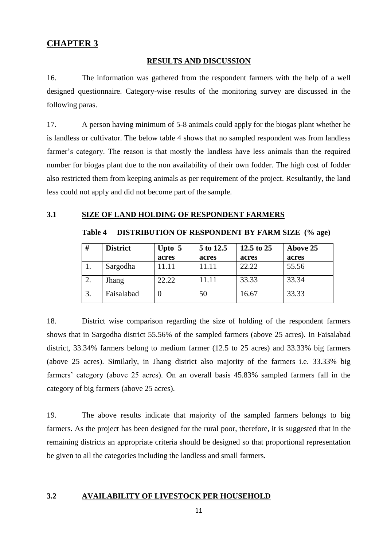#### **RESULTS AND DISCUSSION**

16. The information was gathered from the respondent farmers with the help of a well designed questionnaire. Category-wise results of the monitoring survey are discussed in the following paras.

17. A person having minimum of 5-8 animals could apply for the biogas plant whether he is landless or cultivator. The below table 4 shows that no sampled respondent was from landless farmer's category. The reason is that mostly the landless have less animals than the required number for biogas plant due to the non availability of their own fodder. The high cost of fodder also restricted them from keeping animals as per requirement of the project. Resultantly, the land less could not apply and did not become part of the sample.

#### **3.1 SIZE OF LAND HOLDING OF RESPONDENT FARMERS**

#### **Table 4 DISTRIBUTION OF RESPONDENT BY FARM SIZE (% age)**

| #  | <b>District</b> | Upto $5$ | 5 to 12.5 | 12.5 to 25 | Above 25 |
|----|-----------------|----------|-----------|------------|----------|
|    |                 | acres    | acres     | acres      | acres    |
|    | Sargodha        | .1.11    |           | 22.22      | 55.56    |
| 2. | Jhang           | 22.22    | 11.11     | 33.33      | 33.34    |
| 3. | Faisalabad      |          | 50        | 16.67      | 33.33    |

18. District wise comparison regarding the size of holding of the respondent farmers shows that in Sargodha district 55.56% of the sampled farmers (above 25 acres). In Faisalabad district, 33.34% farmers belong to medium farmer (12.5 to 25 acres) and 33.33% big farmers (above 25 acres). Similarly, in Jhang district also majority of the farmers i.e. 33.33% big farmers' category (above 25 acres). On an overall basis 45.83% sampled farmers fall in the category of big farmers (above 25 acres).

19. The above results indicate that majority of the sampled farmers belongs to big farmers. As the project has been designed for the rural poor, therefore, it is suggested that in the remaining districts an appropriate criteria should be designed so that proportional representation be given to all the categories including the landless and small farmers.

#### **3.2 AVAILABILITY OF LIVESTOCK PER HOUSEHOLD**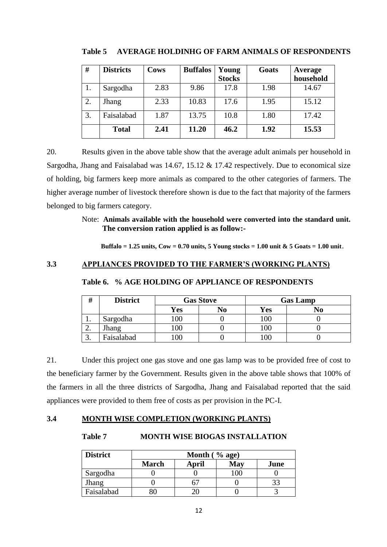| #  | <b>Districts</b> | Cows | <b>Buffalos</b> | Young<br><b>Stocks</b> | Goats | Average<br>household |
|----|------------------|------|-----------------|------------------------|-------|----------------------|
| 1. | Sargodha         | 2.83 | 9.86            | 17.8                   | 1.98  | 14.67                |
| 2. | Jhang            | 2.33 | 10.83           | 17.6                   | 1.95  | 15.12                |
| 3. | Faisalabad       | 1.87 | 13.75           | 10.8                   | 1.80  | 17.42                |
|    | <b>Total</b>     | 2.41 | 11.20           | 46.2                   | 1.92  | 15.53                |

**Table 5 AVERAGE HOLDINHG OF FARM ANIMALS OF RESPONDENTS**

20. Results given in the above table show that the average adult animals per household in Sargodha, Jhang and Faisalabad was 14.67, 15.12 & 17.42 respectively. Due to economical size of holding, big farmers keep more animals as compared to the other categories of farmers. The higher average number of livestock therefore shown is due to the fact that majority of the farmers belonged to big farmers category.

> Note: **Animals available with the household were converted into the standard unit. The conversion ration applied is as follow:-**

**Buffalo = 1.25 units, Cow = 0.70 units, 5 Young stocks = 1.00 unit & 5 Goats = 1.00 unit**.

#### **3.3 APPLIANCES PROVIDED TO THE FARMER'S (WORKING PLANTS)**

| #          | <b>District</b> | <b>Gas Stove</b> |    | <b>Gas Lamp</b> |    |
|------------|-----------------|------------------|----|-----------------|----|
|            |                 | <b>Yes</b>       | No | Yes             | No |
| <b>L</b> . | Sargodha        | 100              |    | 100             |    |
| <u>L.</u>  | Jhang           | 100              |    |                 |    |
| J.         | Faisalabad      | 00               |    |                 |    |

**Table 6. % AGE HOLDING OF APPLIANCE OF RESPONDENTS**

21. Under this project one gas stove and one gas lamp was to be provided free of cost to the beneficiary farmer by the Government. Results given in the above table shows that 100% of the farmers in all the three districts of Sargodha, Jhang and Faisalabad reported that the said appliances were provided to them free of costs as per provision in the PC-I.

#### **3.4 MONTH WISE COMPLETION (WORKING PLANTS)**

#### **Table 7 MONTH WISE BIOGAS INSTALLATION**

| <b>District</b> | Month $(\%$ age) |       |     |      |  |
|-----------------|------------------|-------|-----|------|--|
|                 | <b>March</b>     | April | May | June |  |
| Sargodha        |                  |       |     |      |  |
| Jhang           |                  |       |     |      |  |
| Faisalabad      |                  |       |     |      |  |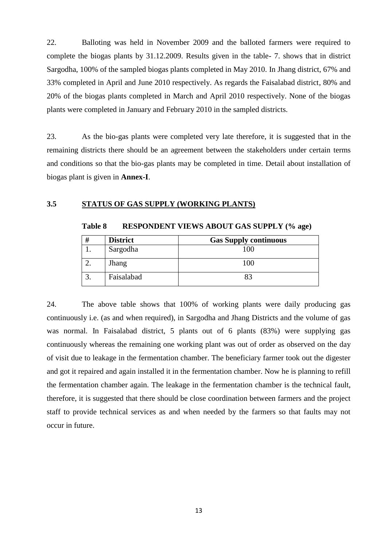22. Balloting was held in November 2009 and the balloted farmers were required to complete the biogas plants by 31.12.2009. Results given in the table- 7. shows that in district Sargodha, 100% of the sampled biogas plants completed in May 2010. In Jhang district, 67% and 33% completed in April and June 2010 respectively. As regards the Faisalabad district, 80% and 20% of the biogas plants completed in March and April 2010 respectively. None of the biogas plants were completed in January and February 2010 in the sampled districts.

23. As the bio-gas plants were completed very late therefore, it is suggested that in the remaining districts there should be an agreement between the stakeholders under certain terms and conditions so that the bio-gas plants may be completed in time. Detail about installation of biogas plant is given in **Annex-I**.

#### **3.5 STATUS OF GAS SUPPLY (WORKING PLANTS)**

| # | <b>District</b> | <b>Gas Supply continuous</b> |
|---|-----------------|------------------------------|
|   | Sargodha        | 100                          |
|   | Jhang           | 100                          |
|   | Faisalabad      |                              |

**Table 8 RESPONDENT VIEWS ABOUT GAS SUPPLY (% age)**

24. The above table shows that 100% of working plants were daily producing gas continuously i.e. (as and when required), in Sargodha and Jhang Districts and the volume of gas was normal. In Faisalabad district, 5 plants out of 6 plants (83%) were supplying gas continuously whereas the remaining one working plant was out of order as observed on the day of visit due to leakage in the fermentation chamber. The beneficiary farmer took out the digester and got it repaired and again installed it in the fermentation chamber. Now he is planning to refill the fermentation chamber again. The leakage in the fermentation chamber is the technical fault, therefore, it is suggested that there should be close coordination between farmers and the project staff to provide technical services as and when needed by the farmers so that faults may not occur in future.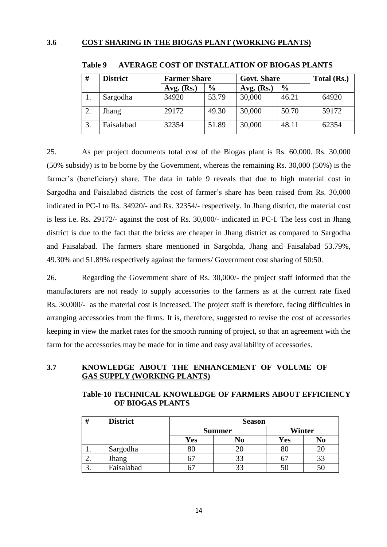#### **3.6 COST SHARING IN THE BIOGAS PLANT (WORKING PLANTS)**

| #  | <b>District</b> | <b>Farmer Share</b> |       | <b>Govt. Share</b> |               | Total (Rs.) |
|----|-----------------|---------------------|-------|--------------------|---------------|-------------|
|    |                 | Avg. $(Rs.)$        | $\%$  | Avg. $(Rs.)$       | $\frac{6}{6}$ |             |
| 1. | Sargodha        | 34920               | 53.79 | 30,000             | 46.21         | 64920       |
| 2. | Jhang           | 29172               | 49.30 | 30,000             | 50.70         | 59172       |
| 3. | Faisalabad      | 32354               | 51.89 | 30,000             | 48.11         | 62354       |

#### **Table 9 AVERAGE COST OF INSTALLATION OF BIOGAS PLANTS**

25. As per project documents total cost of the Biogas plant is Rs. 60,000. Rs. 30,000 (50% subsidy) is to be borne by the Government, whereas the remaining Rs. 30,000 (50%) is the farmer's (beneficiary) share. The data in table 9 reveals that due to high material cost in Sargodha and Faisalabad districts the cost of farmer's share has been raised from Rs. 30,000 indicated in PC-I to Rs. 34920/- and Rs. 32354/- respectively. In Jhang district, the material cost is less i.e. Rs. 29172/- against the cost of Rs. 30,000/- indicated in PC-I. The less cost in Jhang district is due to the fact that the bricks are cheaper in Jhang district as compared to Sargodha and Faisalabad. The farmers share mentioned in Sargohda, Jhang and Faisalabad 53.79%, 49.30% and 51.89% respectively against the farmers/ Government cost sharing of 50:50.

26. Regarding the Government share of Rs. 30,000/- the project staff informed that the manufacturers are not ready to supply accessories to the farmers as at the current rate fixed Rs. 30,000/- as the material cost is increased. The project staff is therefore, facing difficulties in arranging accessories from the firms. It is, therefore, suggested to revise the cost of accessories keeping in view the market rates for the smooth running of project, so that an agreement with the farm for the accessories may be made for in time and easy availability of accessories.

#### **3.7 KNOWLEDGE ABOUT THE ENHANCEMENT OF VOLUME OF GAS SUPPLY (WORKING PLANTS)**

#### **Table-10 TECHNICAL KNOWLEDGE OF FARMERS ABOUT EFFICIENCY OF BIOGAS PLANTS**

| #   | <b>District</b> | <b>Season</b> |    |        |    |
|-----|-----------------|---------------|----|--------|----|
|     |                 | <b>Summer</b> |    | Winter |    |
|     |                 | <b>Yes</b>    | No | Yes    | No |
| . . | Sargodha        | $80\,$        |    | 80     |    |
| ۷.  | Jhang           |               | 33 |        |    |
| ິ.  | Faisalabad      |               | 33 |        |    |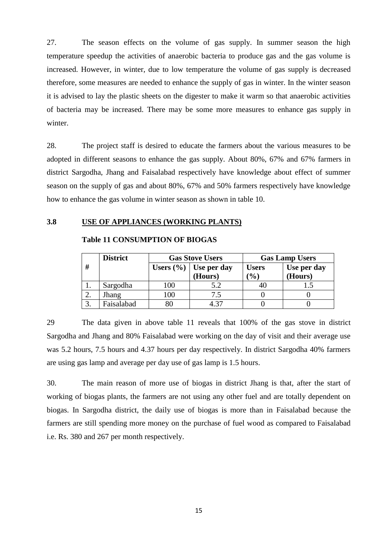27. The season effects on the volume of gas supply. In summer season the high temperature speedup the activities of anaerobic bacteria to produce gas and the gas volume is increased. However, in winter, due to low temperature the volume of gas supply is decreased therefore, some measures are needed to enhance the supply of gas in winter. In the winter season it is advised to lay the plastic sheets on the digester to make it warm so that anaerobic activities of bacteria may be increased. There may be some more measures to enhance gas supply in winter.

28. The project staff is desired to educate the farmers about the various measures to be adopted in different seasons to enhance the gas supply. About 80%, 67% and 67% farmers in district Sargodha, Jhang and Faisalabad respectively have knowledge about effect of summer season on the supply of gas and about 80%, 67% and 50% farmers respectively have knowledge how to enhance the gas volume in winter season as shown in table 10.

#### **3.8 USE OF APPLIANCES (WORKING PLANTS)**

|     | <b>District</b> |        | <b>Gas Stove Users</b>      | <b>Gas Lamp Users</b> |             |  |  |
|-----|-----------------|--------|-----------------------------|-----------------------|-------------|--|--|
| #   |                 |        | Users $(\% )$   Use per day | <b>Users</b>          | Use per day |  |  |
|     |                 |        | (Hours)                     | $($ % $)$             | (Hours)     |  |  |
|     | Sargodha        | 100    | 5.2                         |                       |             |  |  |
| 2.  | Jhang           | 100    | 7.5                         |                       |             |  |  |
| .ບ. | Faisalabad      | $80\,$ | 4 37                        |                       |             |  |  |

#### **Table 11 CONSUMPTION OF BIOGAS**

29 The data given in above table 11 reveals that 100% of the gas stove in district Sargodha and Jhang and 80% Faisalabad were working on the day of visit and their average use was 5.2 hours, 7.5 hours and 4.37 hours per day respectively. In district Sargodha 40% farmers are using gas lamp and average per day use of gas lamp is 1.5 hours.

30. The main reason of more use of biogas in district Jhang is that, after the start of working of biogas plants, the farmers are not using any other fuel and are totally dependent on biogas. In Sargodha district, the daily use of biogas is more than in Faisalabad because the farmers are still spending more money on the purchase of fuel wood as compared to Faisalabad i.e. Rs. 380 and 267 per month respectively.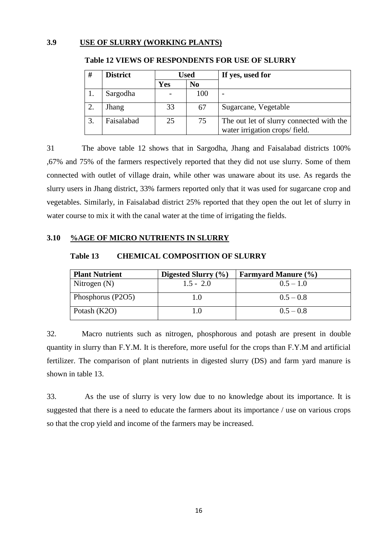#### **3.9 USE OF SLURRY (WORKING PLANTS)**

| #  | <b>District</b> | <b>Used</b>                  |    | If yes, used for                                                          |  |  |  |
|----|-----------------|------------------------------|----|---------------------------------------------------------------------------|--|--|--|
|    |                 | <b>Yes</b><br>N <sub>0</sub> |    |                                                                           |  |  |  |
|    | Sargodha        | 100                          |    |                                                                           |  |  |  |
|    | Jhang           | 33                           | 67 | Sugarcane, Vegetable                                                      |  |  |  |
| 3. | Faisalabad      | 25<br>75                     |    | The out let of slurry connected with the<br>water irrigation crops/field. |  |  |  |

#### **Table 12 VIEWS OF RESPONDENTS FOR USE OF SLURRY**

31 The above table 12 shows that in Sargodha, Jhang and Faisalabad districts 100% ,67% and 75% of the farmers respectively reported that they did not use slurry. Some of them connected with outlet of village drain, while other was unaware about its use. As regards the slurry users in Jhang district, 33% farmers reported only that it was used for sugarcane crop and vegetables. Similarly, in Faisalabad district 25% reported that they open the out let of slurry in water course to mix it with the canal water at the time of irrigating the fields.

#### **3.10 %AGE OF MICRO NUTRIENTS IN SLURRY**

#### **Table 13 CHEMICAL COMPOSITION OF SLURRY**

| <b>Plant Nutrient</b> | Digested Slurry $(\% )$ | <b>Farmyard Manure (%)</b> |
|-----------------------|-------------------------|----------------------------|
| Nitrogen $(N)$        | $1.5 - 2.0$             | $0.5 - 1.0$                |
| Phosphorus (P2O5)     | 1.0                     | $0.5 - 0.8$                |
| Potash (K2O)          |                         | $0.5 - 0.8$                |

32. Macro nutrients such as nitrogen, phosphorous and potash are present in double quantity in slurry than F.Y.M. It is therefore, more useful for the crops than F.Y.M and artificial fertilizer. The comparison of plant nutrients in digested slurry (DS) and farm yard manure is shown in table 13.

33. As the use of slurry is very low due to no knowledge about its importance. It is suggested that there is a need to educate the farmers about its importance / use on various crops so that the crop yield and income of the farmers may be increased.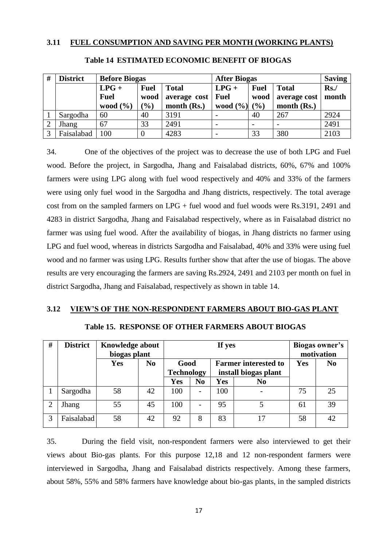#### **3.11 FUEL CONSUMPTION AND SAVING PER MONTH (WORKING PLANTS)**

| # | <b>District</b> | <b>Before Biogas</b> |                  |               | <b>After Biogas</b>      | <b>Saving</b>            |               |       |
|---|-----------------|----------------------|------------------|---------------|--------------------------|--------------------------|---------------|-------|
|   |                 | $LPG +$              | <b>Fuel</b>      | <b>Total</b>  | $LPG +$                  | <b>Fuel</b>              | <b>Total</b>  | Rs.   |
|   |                 | <b>Fuel</b>          | wood             | average cost  | <b>Fuel</b><br>wood      |                          | average cost  | month |
|   |                 | wood $(\% )$         | $\mathcal{O}_0$  | month $(Rs.)$ | wood $(\% )$             | (9/0)                    | month $(Rs.)$ |       |
|   | Sargodha        | 60                   | 40               | 3191          |                          | 40                       | 267           | 2924  |
|   | Jhang           | 67                   | 33               | 2491          | $\overline{\phantom{0}}$ | $\overline{\phantom{0}}$ |               | 2491  |
|   | Faisalabad      | 100                  | $\boldsymbol{0}$ | 4283          |                          | 33                       | 380           | 2103  |

#### **Table 14 ESTIMATED ECONOMIC BENEFIT OF BIOGAS**

34. One of the objectives of the project was to decrease the use of both LPG and Fuel wood. Before the project, in Sargodha, Jhang and Faisalabad districts, 60%, 67% and 100% farmers were using LPG along with fuel wood respectively and 40% and 33% of the farmers were using only fuel wood in the Sargodha and Jhang districts, respectively. The total average cost from on the sampled farmers on LPG + fuel wood and fuel woods were Rs.3191, 2491 and 4283 in district Sargodha, Jhang and Faisalabad respectively, where as in Faisalabad district no farmer was using fuel wood. After the availability of biogas, in Jhang districts no farmer using LPG and fuel wood, whereas in districts Sargodha and Faisalabad, 40% and 33% were using fuel wood and no farmer was using LPG. Results further show that after the use of biogas. The above results are very encouraging the farmers are saving Rs.2924, 2491 and 2103 per month on fuel in district Sargodha, Jhang and Faisalabad, respectively as shown in table 14.

#### **3.12 VIEW'S OF THE NON-RESPONDENT FARMERS ABOUT BIO-GAS PLANT**

| # | <b>District</b> | Knowledge about<br>biogas plant |                |                           |   | If yes                                              |                | Biogas owner's<br>motivation |                |
|---|-----------------|---------------------------------|----------------|---------------------------|---|-----------------------------------------------------|----------------|------------------------------|----------------|
|   |                 | Yes                             | N <sub>0</sub> | Good<br><b>Technology</b> |   | <b>Farmer interested to</b><br>install biogas plant |                | Yes                          | N <sub>0</sub> |
|   |                 |                                 |                | Yes<br>N <sub>0</sub>     |   | Yes                                                 | N <sub>0</sub> |                              |                |
|   | Sargodha        | 58                              | 42             | 100                       | - | 100                                                 |                | 75                           | 25             |
| 2 | Jhang           | 55                              | 45             | 100                       | - | 95                                                  |                | 61                           | 39             |
| 3 | Faisalabad      | 58                              | 42             | 92                        | 8 | 83                                                  | 17             | 58                           | 42             |

35. During the field visit, non-respondent farmers were also interviewed to get their views about Bio-gas plants. For this purpose 12,18 and 12 non-respondent farmers were interviewed in Sargodha, Jhang and Faisalabad districts respectively. Among these farmers, about 58%, 55% and 58% farmers have knowledge about bio-gas plants, in the sampled districts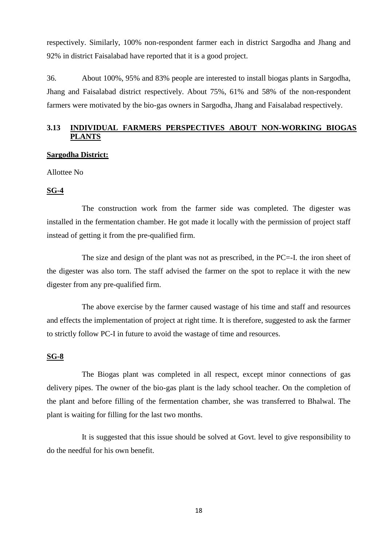respectively. Similarly, 100% non-respondent farmer each in district Sargodha and Jhang and 92% in district Faisalabad have reported that it is a good project.

36. About 100%, 95% and 83% people are interested to install biogas plants in Sargodha, Jhang and Faisalabad district respectively. About 75%, 61% and 58% of the non-respondent farmers were motivated by the bio-gas owners in Sargodha, Jhang and Faisalabad respectively.

### **3.13 INDIVIDUAL FARMERS PERSPECTIVES ABOUT NON-WORKING BIOGAS PLANTS**

#### **Sargodha District:**

Allottee No

#### **SG-4**

The construction work from the farmer side was completed. The digester was installed in the fermentation chamber. He got made it locally with the permission of project staff instead of getting it from the pre-qualified firm.

The size and design of the plant was not as prescribed, in the PC=-I. the iron sheet of the digester was also torn. The staff advised the farmer on the spot to replace it with the new digester from any pre-qualified firm.

The above exercise by the farmer caused wastage of his time and staff and resources and effects the implementation of project at right time. It is therefore, suggested to ask the farmer to strictly follow PC-I in future to avoid the wastage of time and resources.

#### **SG-8**

The Biogas plant was completed in all respect, except minor connections of gas delivery pipes. The owner of the bio-gas plant is the lady school teacher. On the completion of the plant and before filling of the fermentation chamber, she was transferred to Bhalwal. The plant is waiting for filling for the last two months.

It is suggested that this issue should be solved at Govt. level to give responsibility to do the needful for his own benefit.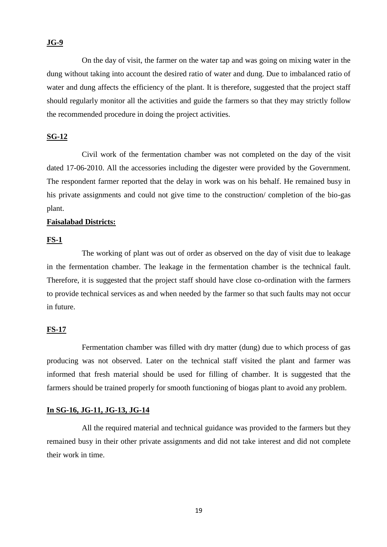#### **JG-9**

On the day of visit, the farmer on the water tap and was going on mixing water in the dung without taking into account the desired ratio of water and dung. Due to imbalanced ratio of water and dung affects the efficiency of the plant. It is therefore, suggested that the project staff should regularly monitor all the activities and guide the farmers so that they may strictly follow the recommended procedure in doing the project activities.

#### **SG-12**

Civil work of the fermentation chamber was not completed on the day of the visit dated 17-06-2010. All the accessories including the digester were provided by the Government. The respondent farmer reported that the delay in work was on his behalf. He remained busy in his private assignments and could not give time to the construction/ completion of the bio-gas plant.

#### **Faisalabad Districts:**

#### **FS-1**

The working of plant was out of order as observed on the day of visit due to leakage in the fermentation chamber. The leakage in the fermentation chamber is the technical fault. Therefore, it is suggested that the project staff should have close co-ordination with the farmers to provide technical services as and when needed by the farmer so that such faults may not occur in future.

#### **FS-17**

Fermentation chamber was filled with dry matter (dung) due to which process of gas producing was not observed. Later on the technical staff visited the plant and farmer was informed that fresh material should be used for filling of chamber. It is suggested that the farmers should be trained properly for smooth functioning of biogas plant to avoid any problem.

#### **In SG-16, JG-11, JG-13, JG-14**

All the required material and technical guidance was provided to the farmers but they remained busy in their other private assignments and did not take interest and did not complete their work in time.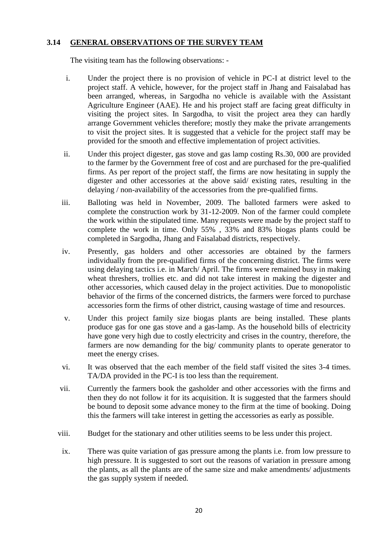#### **3.14 GENERAL OBSERVATIONS OF THE SURVEY TEAM**

The visiting team has the following observations: -

- i. Under the project there is no provision of vehicle in PC-I at district level to the project staff. A vehicle, however, for the project staff in Jhang and Faisalabad has been arranged, whereas, in Sargodha no vehicle is available with the Assistant Agriculture Engineer (AAE). He and his project staff are facing great difficulty in visiting the project sites. In Sargodha, to visit the project area they can hardly arrange Government vehicles therefore; mostly they make the private arrangements to visit the project sites. It is suggested that a vehicle for the project staff may be provided for the smooth and effective implementation of project activities.
- ii. Under this project digester, gas stove and gas lamp costing Rs.30, 000 are provided to the farmer by the Government free of cost and are purchased for the pre-qualified firms. As per report of the project staff, the firms are now hesitating in supply the digester and other accessories at the above said/ existing rates, resulting in the delaying / non-availability of the accessories from the pre-qualified firms.
- iii. Balloting was held in November, 2009. The balloted farmers were asked to complete the construction work by 31-12-2009. Non of the farmer could complete the work within the stipulated time. Many requests were made by the project staff to complete the work in time. Only 55% , 33% and 83% biogas plants could be completed in Sargodha, Jhang and Faisalabad districts, respectively.
- iv. Presently, gas holders and other accessories are obtained by the farmers individually from the pre-qualified firms of the concerning district. The firms were using delaying tactics i.e. in March/ April. The firms were remained busy in making wheat threshers, trollies etc. and did not take interest in making the digester and other accessories, which caused delay in the project activities. Due to monopolistic behavior of the firms of the concerned districts, the farmers were forced to purchase accessories form the firms of other district, causing wastage of time and resources.
- v. Under this project family size biogas plants are being installed. These plants produce gas for one gas stove and a gas-lamp. As the household bills of electricity have gone very high due to costly electricity and crises in the country, therefore, the farmers are now demanding for the big/ community plants to operate generator to meet the energy crises.
- vi. It was observed that the each member of the field staff visited the sites 3-4 times. TA/DA provided in the PC-I is too less than the requirement.
- vii. Currently the farmers book the gasholder and other accessories with the firms and then they do not follow it for its acquisition. It is suggested that the farmers should be bound to deposit some advance money to the firm at the time of booking. Doing this the farmers will take interest in getting the accessories as early as possible.
- viii. Budget for the stationary and other utilities seems to be less under this project.
- ix. There was quite variation of gas pressure among the plants i.e. from low pressure to high pressure. It is suggested to sort out the reasons of variation in pressure among the plants, as all the plants are of the same size and make amendments/ adjustments the gas supply system if needed.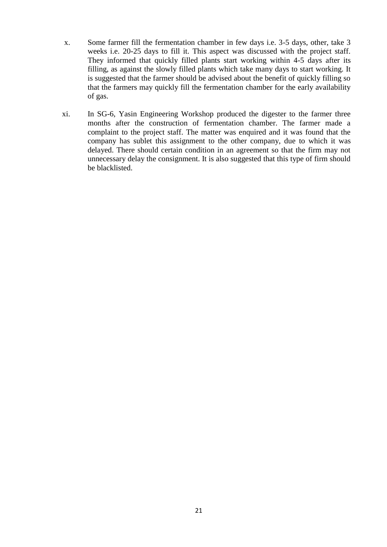- x. Some farmer fill the fermentation chamber in few days i.e. 3-5 days, other, take 3 weeks i.e. 20-25 days to fill it. This aspect was discussed with the project staff. They informed that quickly filled plants start working within 4-5 days after its filling, as against the slowly filled plants which take many days to start working. It is suggested that the farmer should be advised about the benefit of quickly filling so that the farmers may quickly fill the fermentation chamber for the early availability of gas.
- xi. In SG-6, Yasin Engineering Workshop produced the digester to the farmer three months after the construction of fermentation chamber. The farmer made a complaint to the project staff. The matter was enquired and it was found that the company has sublet this assignment to the other company, due to which it was delayed. There should certain condition in an agreement so that the firm may not unnecessary delay the consignment. It is also suggested that this type of firm should be blacklisted.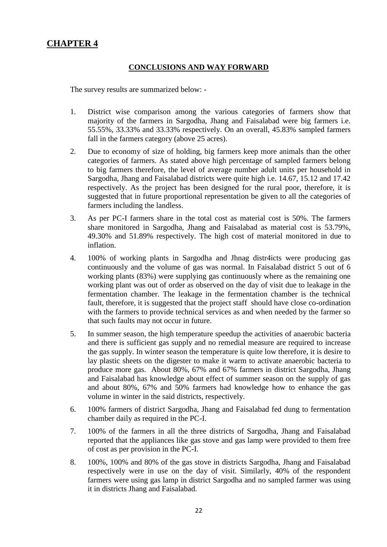### **CHAPTER 4**

#### **CONCLUSIONS AND WAY FORWARD**

The survey results are summarized below: -

- 1. District wise comparison among the various categories of farmers show that majority of the farmers in Sargodha, Jhang and Faisalabad were big farmers i.e. 55.55%, 33.33% and 33.33% respectively. On an overall, 45.83% sampled farmers fall in the farmers category (above 25 acres).
- 2. Due to economy of size of holding, big farmers keep more animals than the other categories of farmers. As stated above high percentage of sampled farmers belong to big farmers therefore, the level of average number adult units per household in Sargodha, Jhang and Faisalabad districts were quite high i.e. 14.67, 15.12 and 17.42 respectively. As the project has been designed for the rural poor, therefore, it is suggested that in future proportional representation be given to all the categories of farmers including the landless.
- 3. As per PC-I farmers share in the total cost as material cost is 50%. The farmers share monitored in Sargodha, Jhang and Faisalabad as material cost is 53.79%, 49.30% and 51.89% respectively. The high cost of material monitored in due to inflation.
- 4. 100% of working plants in Sargodha and Jhnag distr4icts were producing gas continuously and the volume of gas was normal. In Faisalabad district 5 out of 6 working plants (83%) were supplying gas continuously where as the remaining one working plant was out of order as observed on the day of visit due to leakage in the fermentation chamber. The leakage in the fermentation chamber is the technical fault, therefore, it is suggested that the project staff should have close co-ordination with the farmers to provide technical services as and when needed by the farmer so that such faults may not occur in future.
- 5. In summer season, the high temperature speedup the activities of anaerobic bacteria and there is sufficient gas supply and no remedial measure are required to increase the gas supply. In winter season the temperature is quite low therefore, it is desire to lay plastic sheets on the digester to make it warm to activate anaerobic bacteria to produce more gas. About 80%, 67% and 67% farmers in district Sargodha, Jhang and Faisalabad has knowledge about effect of summer season on the supply of gas and about 80%, 67% and 50% farmers had knowledge how to enhance the gas volume in winter in the said districts, respectively.
- 6. 100% farmers of district Sargodha, Jhang and Faisalabad fed dung to fermentation chamber daily as required in the PC-I.
- 7. 100% of the farmers in all the three districts of Sargodha, Jhang and Faisalabad reported that the appliances like gas stove and gas lamp were provided to them free of cost as per provision in the PC-I.
- 8. 100%, 100% and 80% of the gas stove in districts Sargodha, Jhang and Faisalabad respectively were in use on the day of visit. Similarly, 40% of the respondent farmers were using gas lamp in district Sargodha and no sampled farmer was using it in districts Jhang and Faisalabad.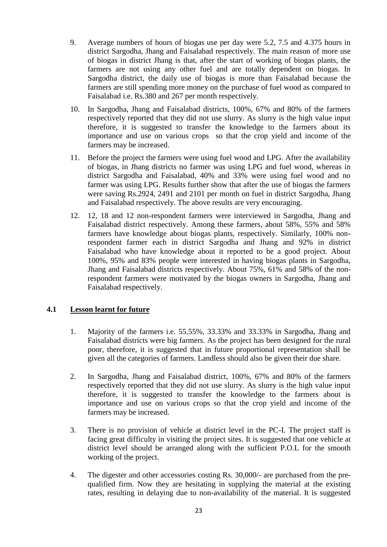- 9. Average numbers of hours of biogas use per day were 5.2, 7.5 and 4.375 hours in district Sargodha, Jhang and Faisalabad respectively. The main reason of more use of biogas in district Jhang is that, after the start of working of biogas plants, the farmers are not using any other fuel and are totally dependent on biogas. In Sargodha district, the daily use of biogas is more than Faisalabad because the farmers are still spending more money on the purchase of fuel wood as compared to Faisalabad i.e. Rs.380 and 267 per month respectively.
- 10. In Sargodha, Jhang and Faisalabad districts, 100%, 67% and 80% of the farmers respectively reported that they did not use slurry. As slurry is the high value input therefore, it is suggested to transfer the knowledge to the farmers about its importance and use on various crops so that the crop yield and income of the farmers may be increased.
- 11. Before the project the farmers were using fuel wood and LPG. After the availability of biogas, in Jhang districts no farmer was using LPG and fuel wood, whereas in district Sargodha and Faisalabad, 40% and 33% were using fuel wood and no farmer was using LPG. Results further show that after the use of biogas the farmers were saving Rs.2924, 2491 and 2101 per month on fuel in district Sargodha, Jhang and Faisalabad respectively. The above results are very encouraging.
- 12. 12, 18 and 12 non-respondent farmers were interviewed in Sargodha, Jhang and Faisalabad district respectively. Among these farmers, about 58%, 55% and 58% farmers have knowledge about biogas plants, respectively. Similarly, 100% nonrespondent farmer each in district Sargodha and Jhang and 92% in district Faisalabad who have knowledge about it reported to be a good project. About 100%, 95% and 83% people were interested in having biogas plants in Sargodha, Jhang and Faisalabad districts respectively. About 75%, 61% and 58% of the nonrespondent farmers were motivated by the biogas owners in Sargodha, Jhang and Faisalabad respectively.

#### **4.1 Lesson learnt for future**

- 1. Majority of the farmers i.e. 55.55%, 33.33% and 33.33% in Sargodha, Jhang and Faisalabad districts were big farmers. As the project has been designed for the rural poor, therefore, it is suggested that in future proportional representation shall be given all the categories of farmers. Landless should also be given their due share.
- 2. In Sargodha, Jhang and Faisalabad district, 100%, 67% and 80% of the farmers respectively reported that they did not use slurry. As slurry is the high value input therefore, it is suggested to transfer the knowledge to the farmers about is importance and use on various crops so that the crop yield and income of the farmers may be increased.
- 3. There is no provision of vehicle at district level in the PC-I. The project staff is facing great difficulty in visiting the project sites. It is suggested that one vehicle at district level should be arranged along with the sufficient P.O.L for the smooth working of the project.
- 4. The digester and other accessories costing Rs. 30,000/- are purchased from the prequalified firm. Now they are hesitating in supplying the material at the existing rates, resulting in delaying due to non-availability of the material. It is suggested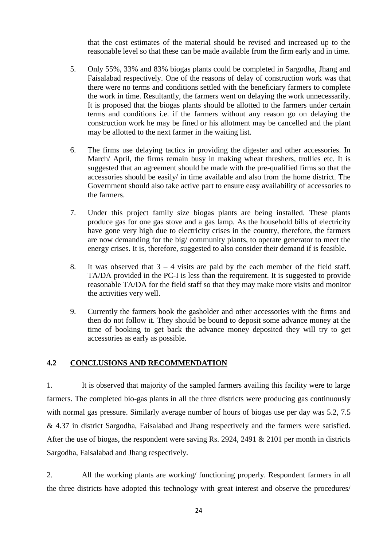that the cost estimates of the material should be revised and increased up to the reasonable level so that these can be made available from the firm early and in time.

- 5. Only 55%, 33% and 83% biogas plants could be completed in Sargodha, Jhang and Faisalabad respectively. One of the reasons of delay of construction work was that there were no terms and conditions settled with the beneficiary farmers to complete the work in time. Resultantly, the farmers went on delaying the work unnecessarily. It is proposed that the biogas plants should be allotted to the farmers under certain terms and conditions i.e. if the farmers without any reason go on delaying the construction work he may be fined or his allotment may be cancelled and the plant may be allotted to the next farmer in the waiting list.
- 6. The firms use delaying tactics in providing the digester and other accessories. In March/ April, the firms remain busy in making wheat threshers, trollies etc. It is suggested that an agreement should be made with the pre-qualified firms so that the accessories should be easily/ in time available and also from the home district. The Government should also take active part to ensure easy availability of accessories to the farmers.
- 7. Under this project family size biogas plants are being installed. These plants produce gas for one gas stove and a gas lamp. As the household bills of electricity have gone very high due to electricity crises in the country, therefore, the farmers are now demanding for the big/ community plants, to operate generator to meet the energy crises. It is, therefore, suggested to also consider their demand if is feasible.
- 8. It was observed that  $3 4$  visits are paid by the each member of the field staff. TA/DA provided in the PC-I is less than the requirement. It is suggested to provide reasonable TA/DA for the field staff so that they may make more visits and monitor the activities very well.
- 9. Currently the farmers book the gasholder and other accessories with the firms and then do not follow it. They should be bound to deposit some advance money at the time of booking to get back the advance money deposited they will try to get accessories as early as possible.

#### **4.2 CONCLUSIONS AND RECOMMENDATION**

1. It is observed that majority of the sampled farmers availing this facility were to large farmers. The completed bio-gas plants in all the three districts were producing gas continuously with normal gas pressure. Similarly average number of hours of biogas use per day was 5.2, 7.5 & 4.37 in district Sargodha, Faisalabad and Jhang respectively and the farmers were satisfied. After the use of biogas, the respondent were saving Rs. 2924, 2491  $\&$  2101 per month in districts Sargodha, Faisalabad and Jhang respectively.

2. All the working plants are working/ functioning properly. Respondent farmers in all the three districts have adopted this technology with great interest and observe the procedures/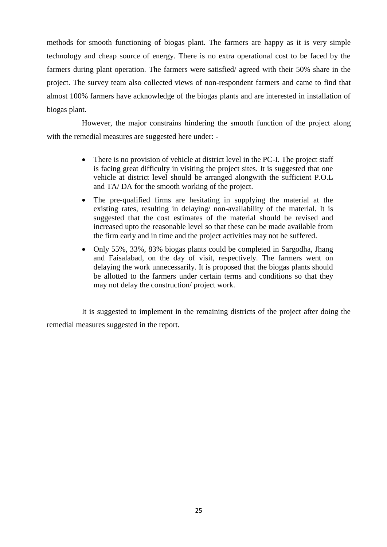methods for smooth functioning of biogas plant. The farmers are happy as it is very simple technology and cheap source of energy. There is no extra operational cost to be faced by the farmers during plant operation. The farmers were satisfied/ agreed with their 50% share in the project. The survey team also collected views of non-respondent farmers and came to find that almost 100% farmers have acknowledge of the biogas plants and are interested in installation of biogas plant.

However, the major constrains hindering the smooth function of the project along with the remedial measures are suggested here under: -

- There is no provision of vehicle at district level in the PC-I. The project staff is facing great difficulty in visiting the project sites. It is suggested that one vehicle at district level should be arranged alongwith the sufficient P.O.L and TA/ DA for the smooth working of the project.
- The pre-qualified firms are hesitating in supplying the material at the existing rates, resulting in delaying/ non-availability of the material. It is suggested that the cost estimates of the material should be revised and increased upto the reasonable level so that these can be made available from the firm early and in time and the project activities may not be suffered.
- Only 55%, 33%, 83% biogas plants could be completed in Sargodha, Jhang and Faisalabad, on the day of visit, respectively. The farmers went on delaying the work unnecessarily. It is proposed that the biogas plants should be allotted to the farmers under certain terms and conditions so that they may not delay the construction/ project work.

It is suggested to implement in the remaining districts of the project after doing the remedial measures suggested in the report.